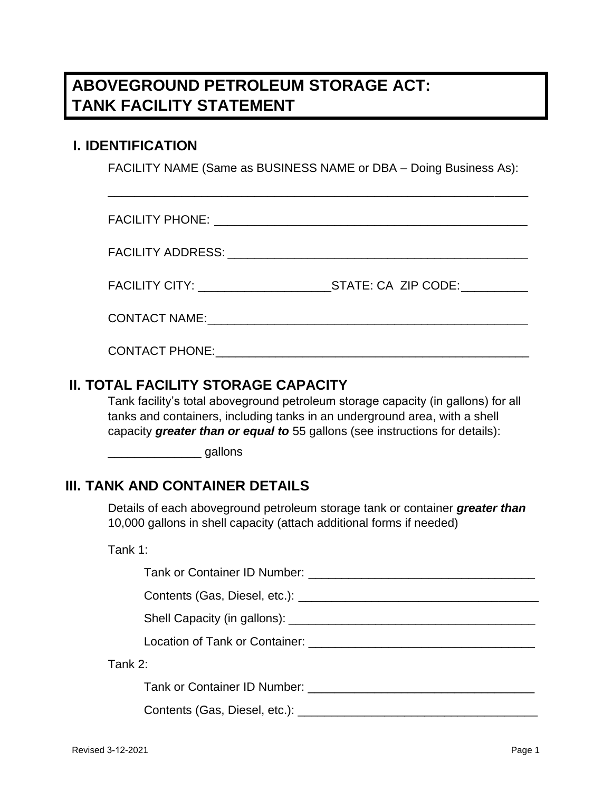# **ABOVEGROUND PETROLEUM STORAGE ACT: TANK FACILITY STATEMENT**

### **I. IDENTIFICATION**

FACILITY NAME (Same as BUSINESS NAME or DBA – Doing Business As):

\_\_\_\_\_\_\_\_\_\_\_\_\_\_\_\_\_\_\_\_\_\_\_\_\_\_\_\_\_\_\_\_\_\_\_\_\_\_\_\_\_\_\_\_\_\_\_\_\_\_\_\_\_\_\_\_\_\_\_\_\_\_\_

| FACILITY CITY: University PACILITY CITY: | STATE: CA ZIP CODE: |
|------------------------------------------|---------------------|
|                                          |                     |
| <b>CONTACT PHONE:</b>                    |                     |

### **II. TOTAL FACILITY STORAGE CAPACITY**

Tank facility's total aboveground petroleum storage capacity (in gallons) for all tanks and containers, including tanks in an underground area, with a shell capacity *greater than or equal to* 55 gallons (see instructions for details):

dallons

### **III. TANK AND CONTAINER DETAILS**

Details of each aboveground petroleum storage tank or container *greater than* 10,000 gallons in shell capacity (attach additional forms if needed)

Tank 1:

| Tank 2:                       |  |
|-------------------------------|--|
| Tank or Container ID Number:  |  |
| Contents (Gas, Diesel, etc.): |  |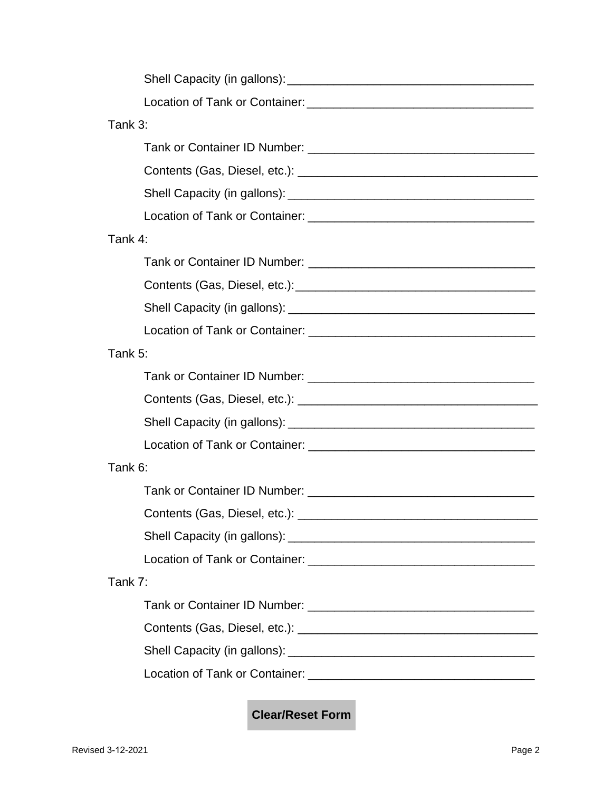| Tank 3:                                                                                                        |
|----------------------------------------------------------------------------------------------------------------|
|                                                                                                                |
|                                                                                                                |
|                                                                                                                |
|                                                                                                                |
| Tank 4:                                                                                                        |
|                                                                                                                |
|                                                                                                                |
|                                                                                                                |
|                                                                                                                |
| Tank 5:                                                                                                        |
| Tank or Container ID Number: New York Container and Container and Container and Container and Container and Co |
|                                                                                                                |
|                                                                                                                |
|                                                                                                                |
| Tank 6:                                                                                                        |
|                                                                                                                |
| Contents (Gas, Diesel, etc.):                                                                                  |
|                                                                                                                |
|                                                                                                                |
| Tank 7:                                                                                                        |
|                                                                                                                |
|                                                                                                                |
|                                                                                                                |
|                                                                                                                |

**Clear/Reset Form**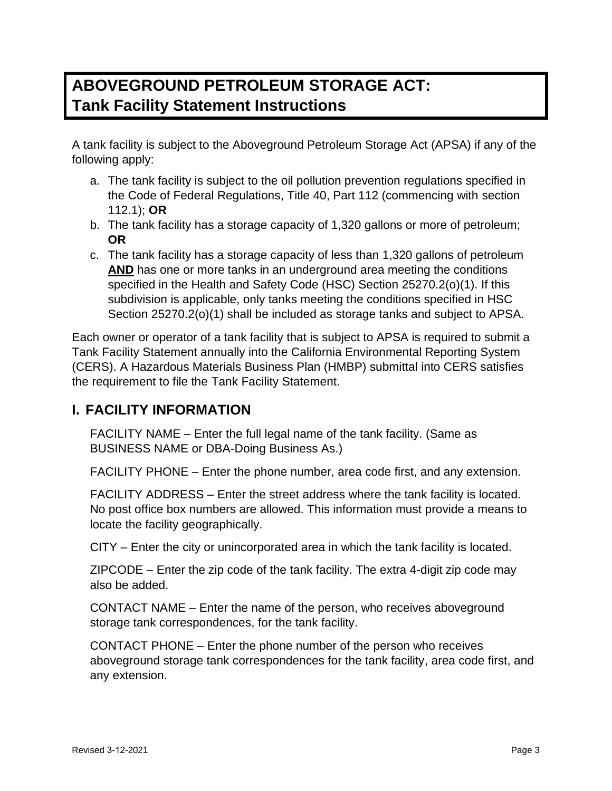# **ABOVEGROUND PETROLEUM STORAGE ACT: Tank Facility Statement Instructions**

A tank facility is subject to the Aboveground Petroleum Storage Act (APSA) if any of the following apply:

- a. The tank facility is subject to the oil pollution prevention regulations specified in the Code of Federal Regulations, Title 40, Part 112 (commencing with section 112.1); **OR**
- b. The tank facility has a storage capacity of 1,320 gallons or more of petroleum; **OR**
- c. The tank facility has a storage capacity of less than 1,320 gallons of petroleum **AND** has one or more tanks in an underground area meeting the conditions specified in the Health and Safety Code (HSC) Section 25270.2(o)(1). If this subdivision is applicable, only tanks meeting the conditions specified in HSC Section 25270.2(o)(1) shall be included as storage tanks and subject to APSA.

Each owner or operator of a tank facility that is subject to APSA is required to submit a Tank Facility Statement annually into the California Environmental Reporting System (CERS). A Hazardous Materials Business Plan (HMBP) submittal into CERS satisfies the requirement to file the Tank Facility Statement.

# **I. FACILITY INFORMATION**

FACILITY NAME – Enter the full legal name of the tank facility. (Same as BUSINESS NAME or DBA-Doing Business As.)

FACILITY PHONE – Enter the phone number, area code first, and any extension.

FACILITY ADDRESS – Enter the street address where the tank facility is located. No post office box numbers are allowed. This information must provide a means to locate the facility geographically.

CITY – Enter the city or unincorporated area in which the tank facility is located.

ZIPCODE – Enter the zip code of the tank facility. The extra 4-digit zip code may also be added.

CONTACT NAME – Enter the name of the person, who receives aboveground storage tank correspondences, for the tank facility.

CONTACT PHONE – Enter the phone number of the person who receives aboveground storage tank correspondences for the tank facility, area code first, and any extension.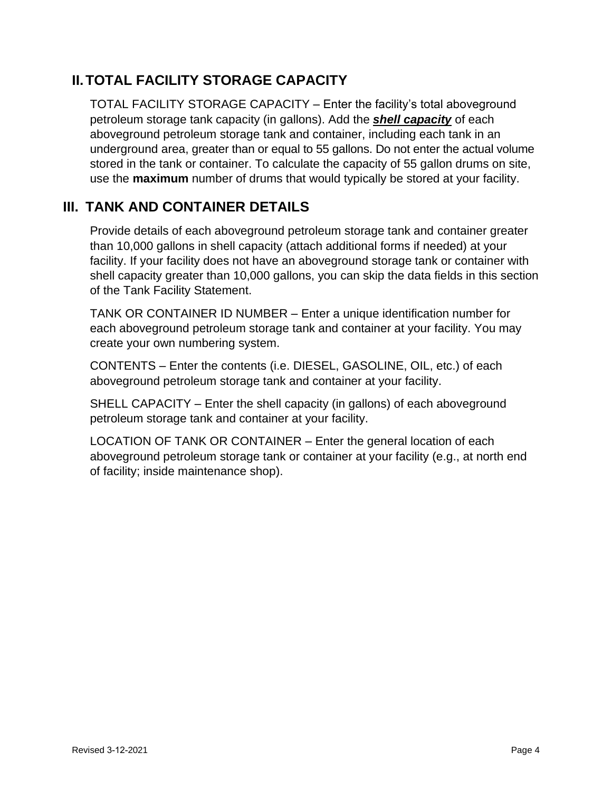## **II.TOTAL FACILITY STORAGE CAPACITY**

TOTAL FACILITY STORAGE CAPACITY – Enter the facility's total aboveground petroleum storage tank capacity (in gallons). Add the *shell capacity* of each aboveground petroleum storage tank and container, including each tank in an underground area, greater than or equal to 55 gallons. Do not enter the actual volume stored in the tank or container. To calculate the capacity of 55 gallon drums on site, use the **maximum** number of drums that would typically be stored at your facility.

### **III. TANK AND CONTAINER DETAILS**

Provide details of each aboveground petroleum storage tank and container greater than 10,000 gallons in shell capacity (attach additional forms if needed) at your facility. If your facility does not have an aboveground storage tank or container with shell capacity greater than 10,000 gallons, you can skip the data fields in this section of the Tank Facility Statement.

TANK OR CONTAINER ID NUMBER – Enter a unique identification number for each aboveground petroleum storage tank and container at your facility. You may create your own numbering system.

CONTENTS – Enter the contents (i.e. DIESEL, GASOLINE, OIL, etc.) of each aboveground petroleum storage tank and container at your facility.

SHELL CAPACITY – Enter the shell capacity (in gallons) of each aboveground petroleum storage tank and container at your facility.

LOCATION OF TANK OR CONTAINER – Enter the general location of each aboveground petroleum storage tank or container at your facility (e.g., at north end of facility; inside maintenance shop).